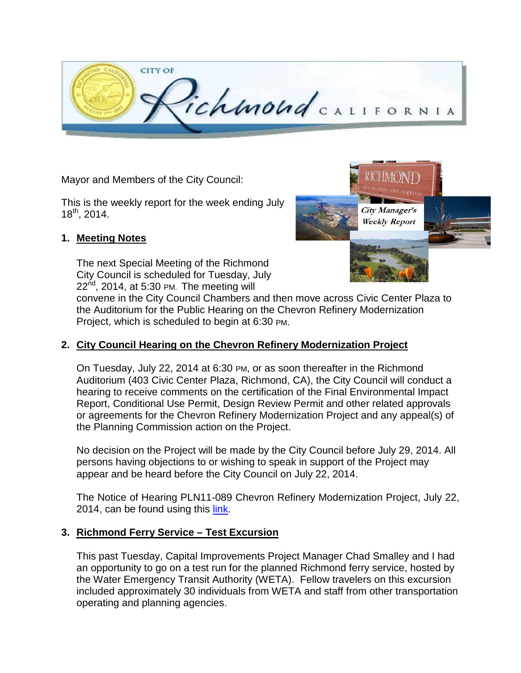

Mayor and Members of the City Council:

This is the weekly report for the week ending July  $18^{th}$ , 2014.

#### **1. Meeting Notes**

The next Special Meeting of the Richmond City Council is scheduled for Tuesday, July  $22<sup>nd</sup>$ , 2014, at 5:30 PM. The meeting will



convene in the City Council Chambers and then move across Civic Center Plaza to the Auditorium for the Public Hearing on the Chevron Refinery Modernization Project, which is scheduled to begin at 6:30 PM.

#### **2. City Council Hearing on the Chevron Refinery Modernization Project**

On Tuesday, July 22, 2014 at 6:30 PM, or as soon thereafter in the Richmond Auditorium (403 Civic Center Plaza, Richmond, CA), the City Council will conduct a hearing to receive comments on the certification of the Final Environmental Impact Report, Conditional Use Permit, Design Review Permit and other related approvals or agreements for the Chevron Refinery Modernization Project and any appeal(s) of the Planning Commission action on the Project.

No decision on the Project will be made by the City Council before July 29, 2014. All persons having objections to or wishing to speak in support of the Project may appear and be heard before the City Council on July 22, 2014.

The Notice of Hearing PLN11-089 Chevron Refinery Modernization Project, July 22, 2014, can be found using this [link.](http://chevronmodernization.com/wp-content/uploads/2014/07/14_0722_CC_Notice_Public_Hearing.pdf)

#### **3. Richmond Ferry Service – Test Excursion**

This past Tuesday, Capital Improvements Project Manager Chad Smalley and I had an opportunity to go on a test run for the planned Richmond ferry service, hosted by the Water Emergency Transit Authority (WETA). Fellow travelers on this excursion included approximately 30 individuals from WETA and staff from other transportation operating and planning agencies.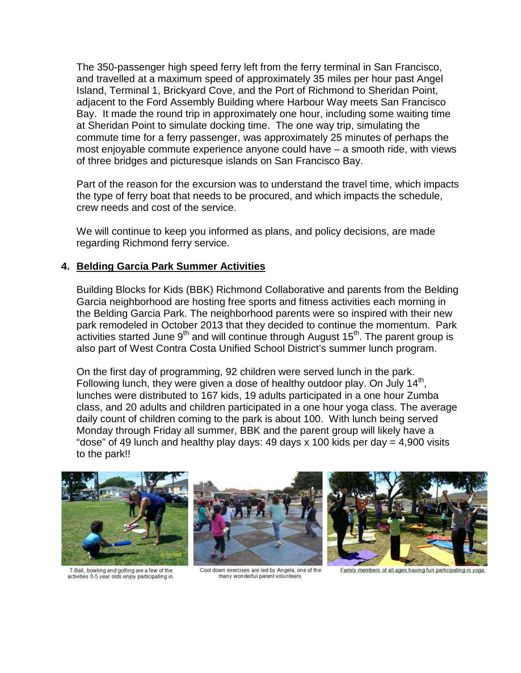The 350-passenger high speed ferry left from the ferry terminal in San Francisco, and travelled at a maximum speed of approximately 35 miles per hour past Angel Island, Terminal 1, Brickyard Cove, and the Port of Richmond to Sheridan Point, adjacent to the Ford Assembly Building where Harbour Way meets San Francisco Bay. It made the round trip in approximately one hour, including some waiting time at Sheridan Point to simulate docking time. The one way trip, simulating the commute time for a ferry passenger, was approximately 25 minutes of perhaps the most enjoyable commute experience anyone could have – a smooth ride, with views of three bridges and picturesque islands on San Francisco Bay.

Part of the reason for the excursion was to understand the travel time, which impacts the type of ferry boat that needs to be procured, and which impacts the schedule, crew needs and cost of the service.

We will continue to keep you informed as plans, and policy decisions, are made regarding Richmond ferry service.

#### **4. Belding Garcia Park Summer Activities**

Building Blocks for Kids (BBK) Richmond Collaborative and parents from the Belding Garcia neighborhood are hosting free sports and fitness activities each morning in the Belding Garcia Park. The neighborhood parents were so inspired with their new park remodeled in October 2013 that they decided to continue the momentum. Park activities started June  $9<sup>th</sup>$  and will continue through August 15<sup>th</sup>. The parent group is also part of West Contra Costa Unified School District's summer lunch program.

On the first day of programming, 92 children were served lunch in the park. Following lunch, they were given a dose of healthy outdoor play. On July 14<sup>th</sup>, lunches were distributed to 167 kids, 19 adults participated in a one hour Zumba class, and 20 adults and children participated in a one hour yoga class. The average daily count of children coming to the park is about 100. With lunch being served Monday through Friday all summer, BBK and the parent group will likely have a "dose" of 49 lunch and healthy play days: 49 days x 100 kids per day  $=$  4,900 visits to the park!!



T-Ball, bowling and golfing are a few of the activities 0-5 year olds enjoy participating in.





Cool down exercises are led by Angela, one of the many wonderful parent volunteers

Family members of all ages having fun participating in yoga.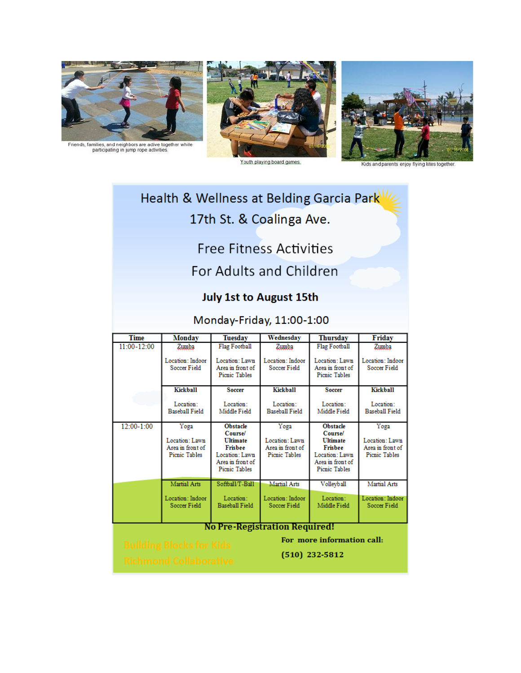

Friends, families, and neighbors are active together while<br>participating in jump rope activities.





Youth playing board games.

Kids and parents enjoy flying kites togethe

# Health & Wellness at Belding Garcia Park 17th St. & Coalinga Ave.

# **Free Fitness Activities**

# For Adults and Children

### **July 1st to August 15th**

### Monday-Friday, 11:00-1:00

| <b>Time</b>                                                   | Monday                                                      | <b>Tuesday</b>                                                                                                               | Wednesday                                                   | <b>Thursday</b>                                                                                                                     | Friday                                                      |
|---------------------------------------------------------------|-------------------------------------------------------------|------------------------------------------------------------------------------------------------------------------------------|-------------------------------------------------------------|-------------------------------------------------------------------------------------------------------------------------------------|-------------------------------------------------------------|
| 11:00-12:00                                                   | Zumba                                                       | Flag Football                                                                                                                | Zumba                                                       | <b>Flag Football</b>                                                                                                                | Zumba                                                       |
|                                                               | Location: Indoor<br>Soccer Field                            | Location: Lawn<br>Area in front of<br>Picnic Tables                                                                          | Location: Indoor<br>Soccer Field                            | Location: Lawn<br>Area in front of<br>Picnic Tables                                                                                 | Location: Indoor<br>Soccer Field                            |
|                                                               | Kickball                                                    | <b>Soccer</b>                                                                                                                | Kickball                                                    | <b>Soccer</b>                                                                                                                       | Kickball                                                    |
|                                                               | Location:<br><b>Baseball Field</b>                          | Location:<br>Middle Field                                                                                                    | Location:<br><b>Baseball Field</b>                          | Location:<br>Middle Field                                                                                                           | Location:<br><b>Baseball Field</b>                          |
| 12:00-1:00                                                    | Yoga<br>Location: Lawn<br>Area in front of<br>Picnic Tables | <b>Obstacle</b><br><b>Course</b><br><b>Ultimate</b><br><b>Frisbee</b><br>Location: Lawn<br>Area in front of<br>Picnic Tables | Yoga<br>Location: Lawn<br>Area in front of<br>Picnic Tables | <b>Obstacle</b><br><b>Course</b><br><b>Ultimate</b><br><b>Frisbee</b><br>Location: Lawn<br>Area in front of<br><b>Picnic Tables</b> | Yoga<br>Location: Lawn<br>Area in front of<br>Picnic Tables |
|                                                               | Martial Arts                                                | Softball/T-Ball                                                                                                              | Martial Arts                                                | Volleyball                                                                                                                          | Martial Arts                                                |
|                                                               | Location: Indoor<br>Soccer Field                            | Location:<br>Baseball Field                                                                                                  | Location: Indoor<br>Soccer Field                            | Location:<br>Middle Field                                                                                                           | Location: Indoor<br>Soccer Field                            |
| <b>No Pre-Registration Required!</b>                          |                                                             |                                                                                                                              |                                                             |                                                                                                                                     |                                                             |
| For more information call:<br><b>Building Blocks for Kids</b> |                                                             |                                                                                                                              |                                                             |                                                                                                                                     |                                                             |
| $(510)$ 232-5812                                              |                                                             |                                                                                                                              |                                                             |                                                                                                                                     |                                                             |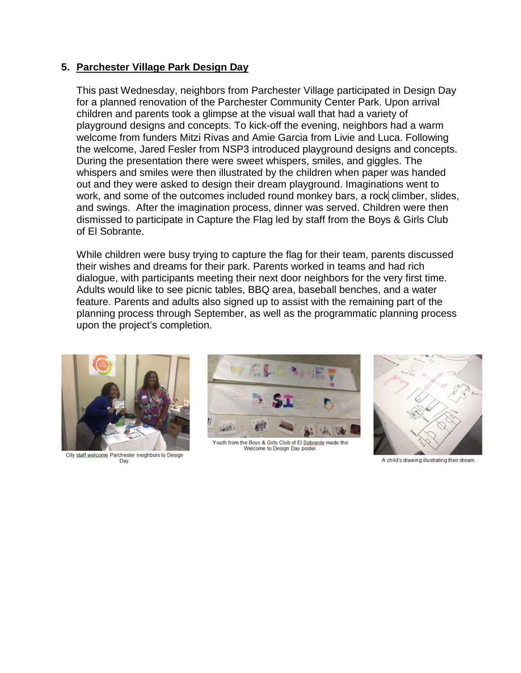#### **5. Parchester Village Park Design Day**

This past Wednesday, neighbors from Parchester Village participated in Design Day for a planned renovation of the Parchester Community Center Park. Upon arrival children and parents took a glimpse at the visual wall that had a variety of playground designs and concepts. To kick-off the evening, neighbors had a warm welcome from funders Mitzi Rivas and Amie Garcia from Livie and Luca. Following the welcome, Jared Fesler from NSP3 introduced playground designs and concepts. During the presentation there were sweet whispers, smiles, and giggles. The whispers and smiles were then illustrated by the children when paper was handed out and they were asked to design their dream playground. Imaginations went to work, and some of the outcomes included round monkey bars, a rock climber, slides, and swings. After the imagination process, dinner was served. Children were then dismissed to participate in Capture the Flag led by staff from the Boys & Girls Club of El Sobrante.

While children were busy trying to capture the flag for their team, parents discussed their wishes and dreams for their park. Parents worked in teams and had rich dialogue, with participants meeting their next door neighbors for the very first time. Adults would like to see picnic tables, BBQ area, baseball benches, and a water feature. Parents and adults also signed up to assist with the remaining part of the planning process through September, as well as the programmatic planning process upon the project's completion.



City staff welcome Parchester neighbors to Design Day.



Youth from the Boys & Girls Club of El Sobrante made the Welcome to Design Day poster



A child's drawing illustrating their dream.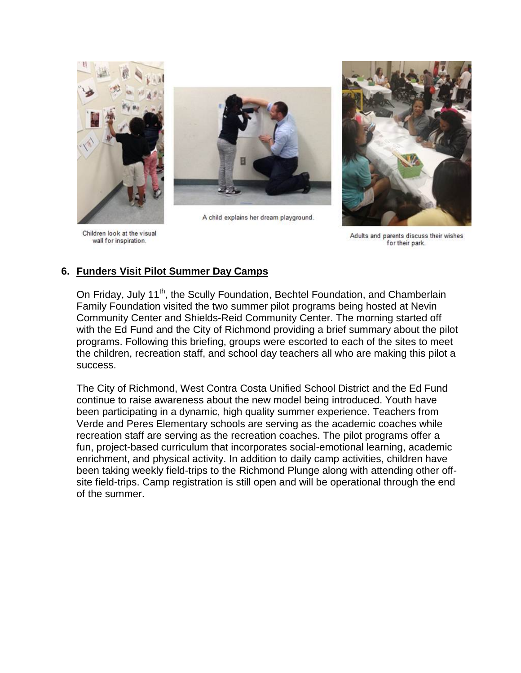

Children look at the visual wall for inspiration.



A child explains her dream playground.



Adults and parents discuss their wishes for their park.

#### **6. Funders Visit Pilot Summer Day Camps**

On Friday, July 11<sup>th</sup>, the Scully Foundation, Bechtel Foundation, and Chamberlain Family Foundation visited the two summer pilot programs being hosted at Nevin Community Center and Shields-Reid Community Center. The morning started off with the Ed Fund and the City of Richmond providing a brief summary about the pilot programs. Following this briefing, groups were escorted to each of the sites to meet the children, recreation staff, and school day teachers all who are making this pilot a success.

The City of Richmond, West Contra Costa Unified School District and the Ed Fund continue to raise awareness about the new model being introduced. Youth have been participating in a dynamic, high quality summer experience. Teachers from Verde and Peres Elementary schools are serving as the academic coaches while recreation staff are serving as the recreation coaches. The pilot programs offer a fun, project-based curriculum that incorporates social-emotional learning, academic enrichment, and physical activity. In addition to daily camp activities, children have been taking weekly field-trips to the Richmond Plunge along with attending other offsite field-trips. Camp registration is still open and will be operational through the end of the summer.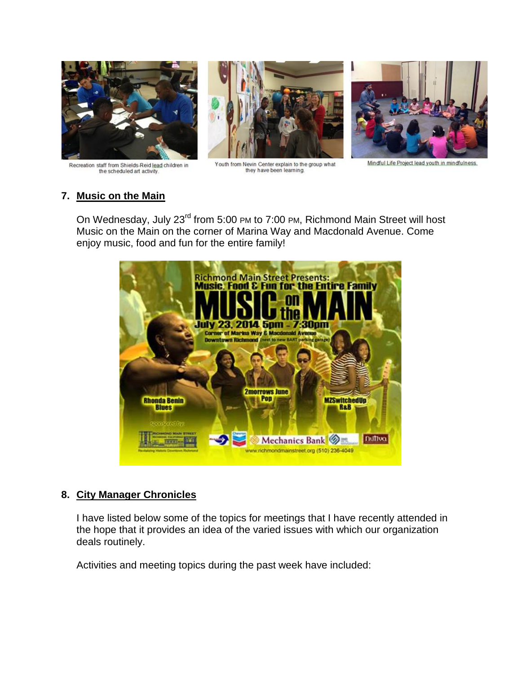

Recreation staff from Shields-Reid lead children in the scheduled art activity.



Youth from Nevin Center explain to the group what they have been learning.

#### Mindful Life Project lead youth in mindfulness.

#### **7. Music on the Main**

On Wednesday, July 23<sup>rd</sup> from 5:00 PM to 7:00 PM, Richmond Main Street will host Music on the Main on the corner of Marina Way and Macdonald Avenue. Come enjoy music, food and fun for the entire family!



#### **8. City Manager Chronicles**

I have listed below some of the topics for meetings that I have recently attended in the hope that it provides an idea of the varied issues with which our organization deals routinely.

Activities and meeting topics during the past week have included: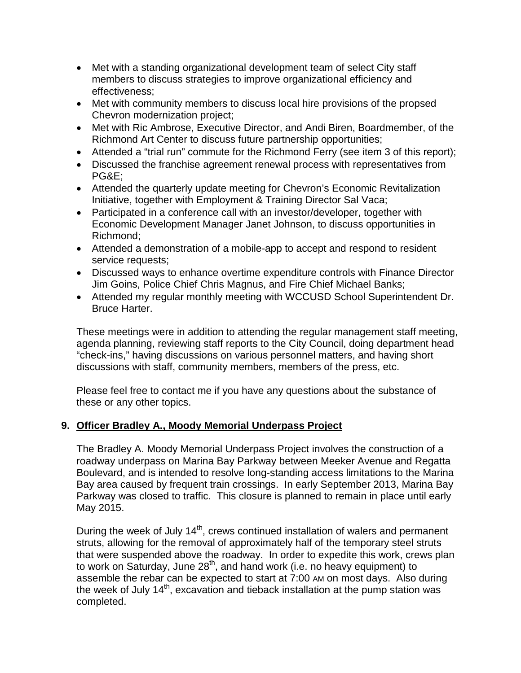- Met with a standing organizational development team of select City staff members to discuss strategies to improve organizational efficiency and effectiveness;
- Met with community members to discuss local hire provisions of the propsed Chevron modernization project;
- Met with Ric Ambrose, Executive Director, and Andi Biren, Boardmember, of the Richmond Art Center to discuss future partnership opportunities;
- Attended a "trial run" commute for the Richmond Ferry (see item 3 of this report);
- Discussed the franchise agreement renewal process with representatives from PG&E;
- Attended the quarterly update meeting for Chevron's Economic Revitalization Initiative, together with Employment & Training Director Sal Vaca;
- Participated in a conference call with an investor/developer, together with Economic Development Manager Janet Johnson, to discuss opportunities in Richmond;
- Attended a demonstration of a mobile-app to accept and respond to resident service requests;
- Discussed ways to enhance overtime expenditure controls with Finance Director Jim Goins, Police Chief Chris Magnus, and Fire Chief Michael Banks;
- Attended my regular monthly meeting with WCCUSD School Superintendent Dr. Bruce Harter.

These meetings were in addition to attending the regular management staff meeting, agenda planning, reviewing staff reports to the City Council, doing department head "check-ins," having discussions on various personnel matters, and having short discussions with staff, community members, members of the press, etc.

Please feel free to contact me if you have any questions about the substance of these or any other topics.

#### **9. Officer Bradley A., Moody Memorial Underpass Project**

The Bradley A. Moody Memorial Underpass Project involves the construction of a roadway underpass on Marina Bay Parkway between Meeker Avenue and Regatta Boulevard, and is intended to resolve long-standing access limitations to the Marina Bay area caused by frequent train crossings. In early September 2013, Marina Bay Parkway was closed to traffic. This closure is planned to remain in place until early May 2015.

During the week of July 14<sup>th</sup>, crews continued installation of walers and permanent struts, allowing for the removal of approximately half of the temporary steel struts that were suspended above the roadway. In order to expedite this work, crews plan to work on Saturday, June 28<sup>th</sup>, and hand work (i.e. no heavy equipment) to assemble the rebar can be expected to start at 7:00 AM on most days. Also during the week of July  $14<sup>th</sup>$ , excavation and tieback installation at the pump station was completed.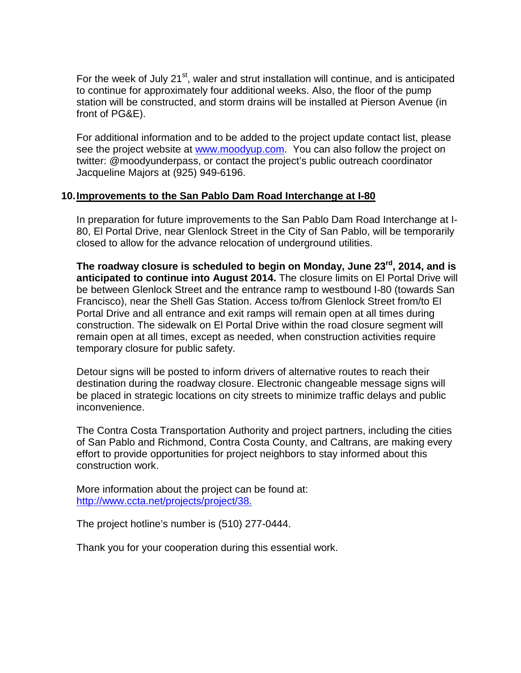For the week of July 21<sup>st</sup>, waler and strut installation will continue, and is anticipated to continue for approximately four additional weeks. Also, the floor of the pump station will be constructed, and storm drains will be installed at Pierson Avenue (in front of PG&E).

For additional information and to be added to the project update contact list, please see the project website at [www.moodyup.com.](http://www.moodyup.com/) You can also follow the project on twitter: @moodyunderpass, or contact the project's public outreach coordinator Jacqueline Majors at (925) 949-6196.

#### **10.Improvements to the San Pablo Dam Road Interchange at I-80**

In preparation for future improvements to the San Pablo Dam Road Interchange at I-80, El Portal Drive, near Glenlock Street in the City of San Pablo, will be temporarily closed to allow for the advance relocation of underground utilities.

**The roadway closure is scheduled to begin on Monday, June 23rd, 2014, and is anticipated to continue into August 2014.** The closure limits on El Portal Drive will be between Glenlock Street and the entrance ramp to westbound I-80 (towards San Francisco), near the Shell Gas Station. Access to/from Glenlock Street from/to El Portal Drive and all entrance and exit ramps will remain open at all times during construction. The sidewalk on El Portal Drive within the road closure segment will remain open at all times, except as needed, when construction activities require temporary closure for public safety.

Detour signs will be posted to inform drivers of alternative routes to reach their destination during the roadway closure. Electronic changeable message signs will be placed in strategic locations on city streets to minimize traffic delays and public inconvenience.

The Contra Costa Transportation Authority and project partners, including the cities of San Pablo and Richmond, Contra Costa County, and Caltrans, are making every effort to provide opportunities for project neighbors to stay informed about this construction work.

More information about the project can be found at: [http://www.ccta.net/projects/project/38.](http://www.ccta.net/projects/project/38)

The project hotline's number is (510) 277-0444.

Thank you for your cooperation during this essential work.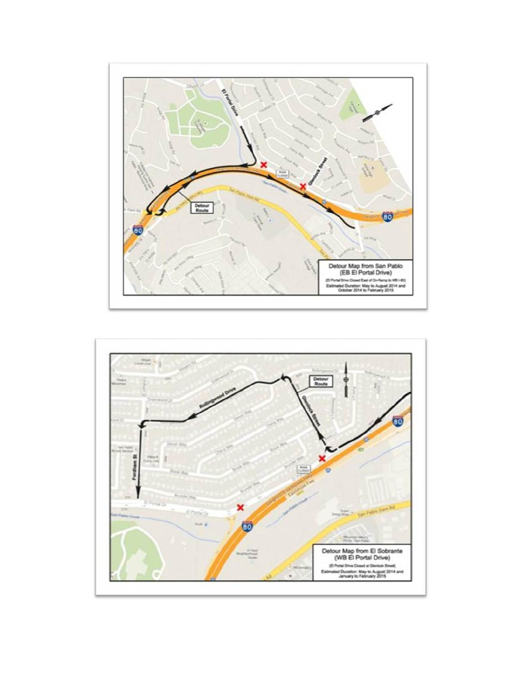

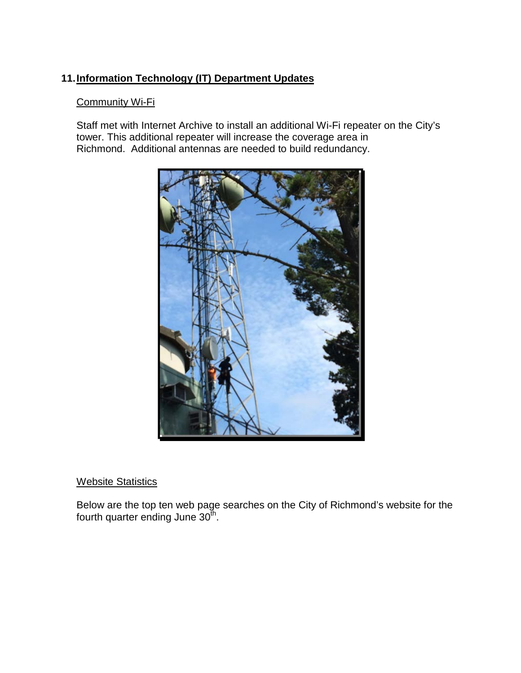### **11.Information Technology (IT) Department Updates**

#### Community Wi-Fi

Staff met with Internet Archive to install an additional Wi-Fi repeater on the City's tower. This additional repeater will increase the coverage area in Richmond. Additional antennas are needed to build redundancy.



#### **Website Statistics**

Below are the top ten web page searches on the City of Richmond's website for the fourth quarter ending June 30<sup>th</sup>.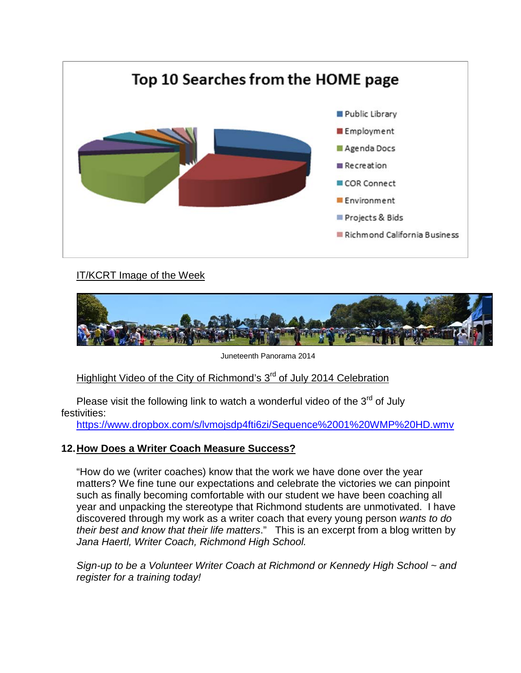

### IT/KCRT Image of the Week



Juneteenth Panorama 2014

### Highlight Video of the City of Richmond's 3<sup>rd</sup> of July 2014 Celebration

Please visit the following link to watch a wonderful video of the  $3<sup>rd</sup>$  of July festivities:

<https://www.dropbox.com/s/lvmojsdp4fti6zi/Sequence%2001%20WMP%20HD.wmv>

#### **12.How Does a Writer Coach Measure Success?**

"How do we (writer coaches) know that the work we have done over the year matters? We fine tune our expectations and celebrate the victories we can pinpoint such as finally becoming comfortable with our student we have been coaching all year and unpacking the stereotype that Richmond students are unmotivated. I have discovered through my work as a writer coach that every young person *wants to do their best and know that their life matters*." This is an excerpt from a blog written by *Jana Haertl, Writer Coach, Richmond High School.*

*Sign-up to be a Volunteer Writer Coach at Richmond or Kennedy High School ~ and register for a training today!*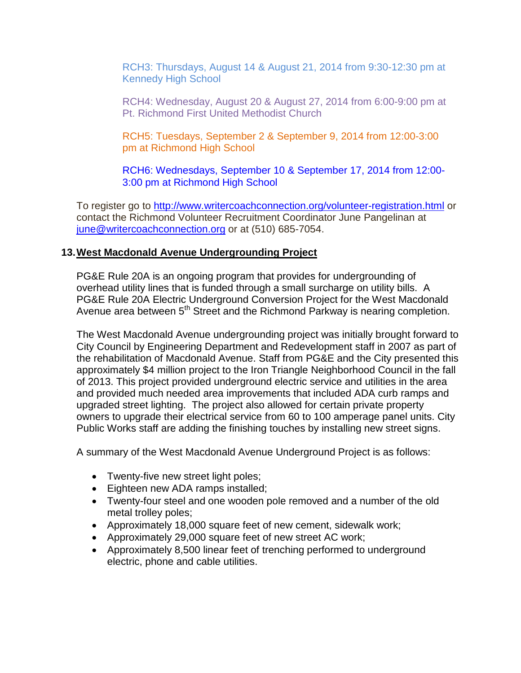RCH3: Thursdays, August 14 & August 21, 2014 from 9:30-12:30 pm at Kennedy High School

RCH4: Wednesday, August 20 & August 27, 2014 from 6:00-9:00 pm at Pt. Richmond First United Methodist Church

RCH5: Tuesdays, September 2 & September 9, 2014 from 12:00-3:00 pm at Richmond High School

RCH6: Wednesdays, September 10 & September 17, 2014 from 12:00- 3:00 pm at Richmond High School

To register go to <http://www.writercoachconnection.org/volunteer-registration.html> or contact the Richmond Volunteer Recruitment Coordinator June Pangelinan at [june@writercoachconnection.org](mailto:june@writercoachconnection.org) or at (510) 685-7054.

#### **13.West Macdonald Avenue Undergrounding Project**

PG&E Rule 20A is an ongoing program that provides for undergrounding of overhead utility lines that is funded through a small surcharge on utility bills. A PG&E Rule 20A Electric Underground Conversion Project for the West Macdonald Avenue area between 5<sup>th</sup> Street and the Richmond Parkway is nearing completion.

The West Macdonald Avenue undergrounding project was initially brought forward to City Council by Engineering Department and Redevelopment staff in 2007 as part of the rehabilitation of Macdonald Avenue. Staff from PG&E and the City presented this approximately \$4 million project to the Iron Triangle Neighborhood Council in the fall of 2013. This project provided underground electric service and utilities in the area and provided much needed area improvements that included ADA curb ramps and upgraded street lighting. The project also allowed for certain private property owners to upgrade their electrical service from 60 to 100 amperage panel units. City Public Works staff are adding the finishing touches by installing new street signs.

A summary of the West Macdonald Avenue Underground Project is as follows:

- Twenty-five new street light poles;
- Eighteen new ADA ramps installed;
- Twenty-four steel and one wooden pole removed and a number of the old metal trolley poles;
- Approximately 18,000 square feet of new cement, sidewalk work;
- Approximately 29,000 square feet of new street AC work;
- Approximately 8,500 linear feet of trenching performed to underground electric, phone and cable utilities.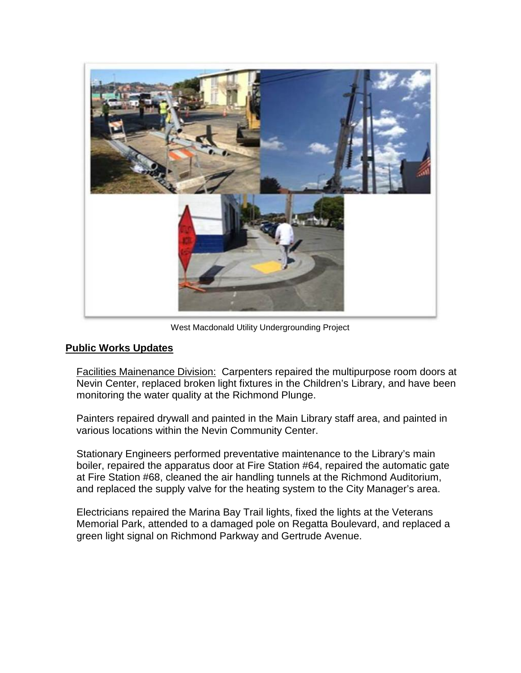

West Macdonald Utility Undergrounding Project

#### **Public Works Updates**

Facilities Mainenance Division: Carpenters repaired the multipurpose room doors at Nevin Center, replaced broken light fixtures in the Children's Library, and have been monitoring the water quality at the Richmond Plunge.

Painters repaired drywall and painted in the Main Library staff area, and painted in various locations within the Nevin Community Center.

Stationary Engineers performed preventative maintenance to the Library's main boiler, repaired the apparatus door at Fire Station #64, repaired the automatic gate at Fire Station #68, cleaned the air handling tunnels at the Richmond Auditorium, and replaced the supply valve for the heating system to the City Manager's area.

Electricians repaired the Marina Bay Trail lights, fixed the lights at the Veterans Memorial Park, attended to a damaged pole on Regatta Boulevard, and replaced a green light signal on Richmond Parkway and Gertrude Avenue.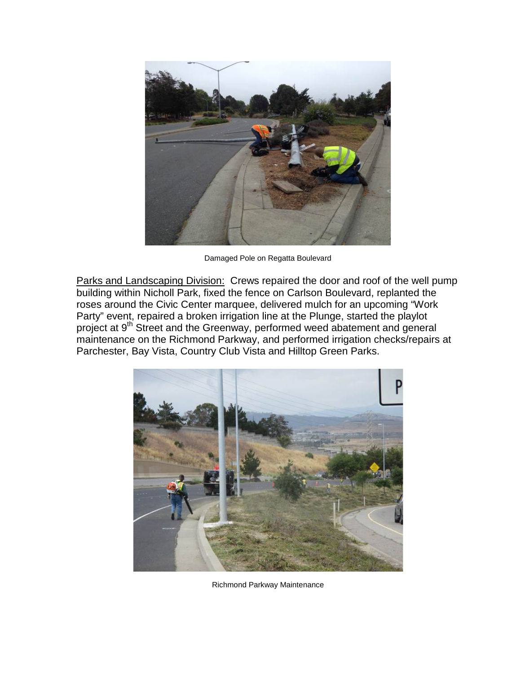

Damaged Pole on Regatta Boulevard

Parks and Landscaping Division: Crews repaired the door and roof of the well pump building within Nicholl Park, fixed the fence on Carlson Boulevard, replanted the roses around the Civic Center marquee, delivered mulch for an upcoming "Work Party" event, repaired a broken irrigation line at the Plunge, started the playlot project at 9<sup>th</sup> Street and the Greenway, performed weed abatement and general maintenance on the Richmond Parkway, and performed irrigation checks/repairs at Parchester, Bay Vista, Country Club Vista and Hilltop Green Parks.



Richmond Parkway Maintenance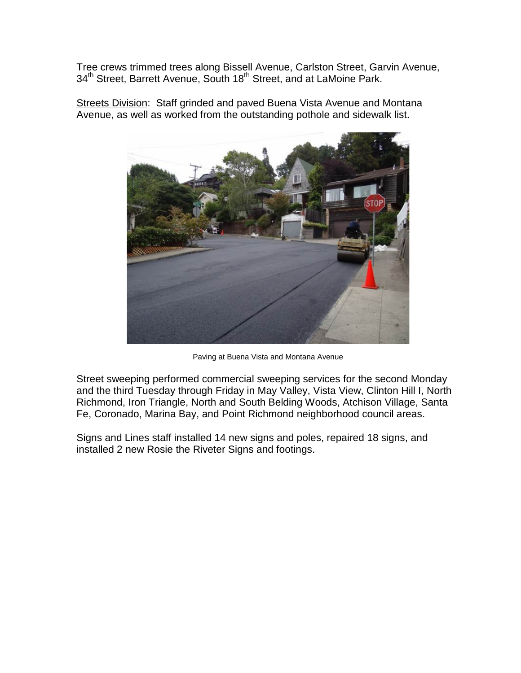Tree crews trimmed trees along Bissell Avenue, Carlston Street, Garvin Avenue, 34<sup>th</sup> Street, Barrett Avenue, South 18<sup>th</sup> Street, and at LaMoine Park.



Streets Division: Staff grinded and paved Buena Vista Avenue and Montana Avenue, as well as worked from the outstanding pothole and sidewalk list.

Paving at Buena Vista and Montana Avenue

Street sweeping performed commercial sweeping services for the second Monday and the third Tuesday through Friday in May Valley, Vista View, Clinton Hill I, North Richmond, Iron Triangle, North and South Belding Woods, Atchison Village, Santa Fe, Coronado, Marina Bay, and Point Richmond neighborhood council areas.

Signs and Lines staff installed 14 new signs and poles, repaired 18 signs, and installed 2 new Rosie the Riveter Signs and footings.